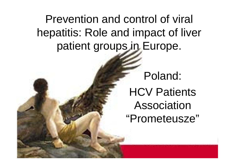# Prevention and control of viral hepatitis: Role and impact of liver patient groups in Europe.

Poland: HCV Patients Association "Prometeusze"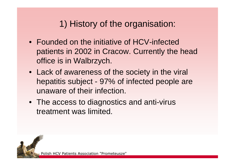## 1) History of the organisation:

- Founded on the initiative of HCV-infected patients in 2002 in Cracow. Currently the head office is in Walbrzych.
- Lack of awareness of the society in the viral hepatitis subject - 97% of infected people are unaware of their infection.
- The access to diagnostics and anti-virus treatment was limited.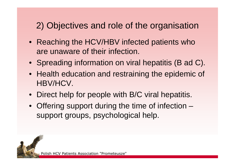# 2) Objectives and role of the organisation

- Reaching the HCV/HBV infected patients who are unaware of their infection.
- Spreading information on viral hepatitis (B ad C).
- Health education and restraining the epidemic of HBV/HCV.
- Direct help for people with B/C viral hepatitis.
- Offering support during the time of infection support groups, psychological help.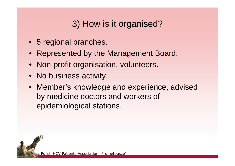# 3) How is it organised?

- 5 regional branches.
- Represented by the Management Board.
- Non-profit organisation, volunteers.
- No business activity.
- Member's knowledge and experience, advised by medicine doctors and workers of epidemiological stations.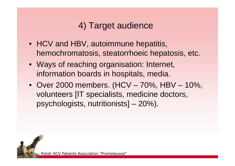# 4) Target audience

- HCV and HBV, autoimmune hepatitis, hemochromatosis, steatorrhoeic hepatosis, etc.
- Ways of reaching organisation: Internet, information boards in hospitals, media.
- Over 2000 members. (HCV 70%, HBV 10%, volunteers [IT specialists, medicine doctors, psychologists, nutritionists] – 20%).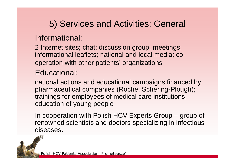# 5) Services and Activities: General

#### Informational:

2 Internet sites; chat; discussion group; meetings; informational leaflets; national and local media; cooperation with other patients' organizations

#### Educational:

national actions and educational campaigns financed by pharmaceutical companies (Roche, Schering-Plough); trainings for employees of medical care institutions; education of young people

In cooperation with Polish HCV Experts Group – group of renowned scientists and doctors specializing in infectious diseases.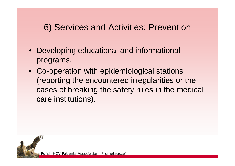### 6) Services and Activities: Prevention

- Developing educational and informational programs.
- Co-operation with epidemiological stations (reporting the encountered irregularities or the cases of breaking the safety rules in the medical care institutions).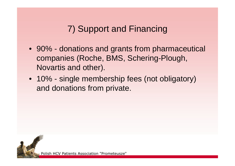# 7) Support and Financing

- 90% donations and grants from pharmaceutical companies (Roche, BMS, Schering-Plough, Novartis and other).
- 10% single membership fees (not obligatory) and donations from private.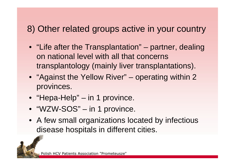#### 8) Other related groups active in your country

- "Life after the Transplantation" partner, dealing on national level with all that concerns transplantology (mainly liver transplantations).
- "Against the Yellow River" operating within 2 provinces.
- "Hepa-Help" in 1 province.
- "WZW-SOS" in 1 province.
- A few small organizations located by infectious disease hospitals in different cities.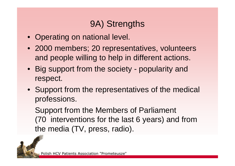### 9A) Strengths

- Operating on national level.
- 2000 members; 20 representatives, volunteers and people willing to help in different actions.
- Big support from the society popularity and respect.
- Support from the representatives of the medical professions.

Support from the Members of Parliament (70\_interventions for the last 6 years) and from the media (TV, press, radio).

Polish HCV Patients Association "Prometeusze"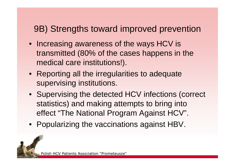### 9B) Strengths toward improved prevention

- Increasing awareness of the ways HCV is transmitted (80% of the cases happens in the medical care institutions!).
- Reporting all the irregularities to adequate supervising institutions.
- Supervising the detected HCV infections (correct statistics) and making attempts to bring into effect "The National Program Against HCV".
- Popularizing the vaccinations against HBV.

Polish HCV Patients Association "Prometeusze"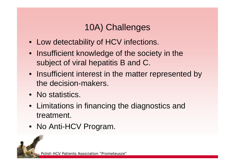# 10A) Challenges

- Low detectability of HCV infections.
- Insufficient knowledge of the society in the subject of viral hepatitis B and C.
- Insufficient interest in the matter represented by the decision-makers.
- No statistics.
- Limitations in financing the diagnostics and treatment.
- No Anti-HCV Program.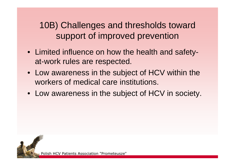10B) Challenges and thresholds toward support of improved prevention

- Limited influence on how the health and safetyat-work rules are respected.
- Low awareness in the subject of HCV within the workers of medical care institutions.
- Low awareness in the subject of HCV in society.